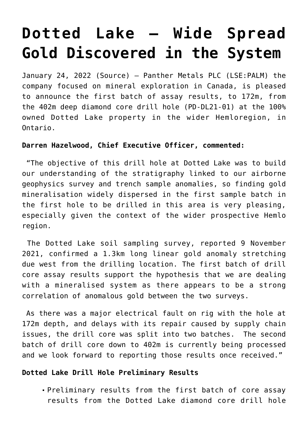# **[Dotted Lake – Wide Spread](https://investorintel.com/markets/gold-silver-base-metals/gold-precious-metals-news/dotted-lake-wide-spread-gold-discovered-in-the-system/) [Gold Discovered in the System](https://investorintel.com/markets/gold-silver-base-metals/gold-precious-metals-news/dotted-lake-wide-spread-gold-discovered-in-the-system/)**

January 24, 2022 [\(Source](https://polaris.brighterir.com/public/panther_metals/news/rns/story/w1yjj3w)) — Panther Metals PLC (LSE:PALM) the company focused on mineral exploration in Canada, is pleased to announce the first batch of assay results, to 172m, from the 402m deep diamond core drill hole (PD-DL21-01) at the 100% owned Dotted Lake property in the wider Hemloregion, in Ontario.

## **Darren Hazelwood, Chief Executive Officer, commented:**

"The objective of this drill hole at Dotted Lake was to build our understanding of the stratigraphy linked to our airborne geophysics survey and trench sample anomalies, so finding gold mineralisation widely dispersed in the first sample batch in the first hole to be drilled in this area is very pleasing, especially given the context of the wider prospective Hemlo region.

The Dotted Lake soil sampling survey, reported 9 November 2021, confirmed a 1.3km long linear gold anomaly stretching due west from the drilling location. The first batch of drill core assay results support the hypothesis that we are dealing with a mineralised system as there appears to be a strong correlation of anomalous gold between the two surveys.

As there was a major electrical fault on rig with the hole at 172m depth, and delays with its repair caused by supply chain issues, the drill core was split into two batches. The second batch of drill core down to 402m is currently being processed and we look forward to reporting those results once received."

## **Dotted Lake Drill Hole Preliminary Results**

Preliminary results from the first batch of core assay results from the Dotted Lake diamond core drill hole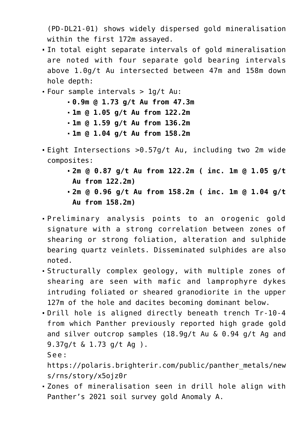(PD-DL21-01) shows widely dispersed gold mineralisation within the first 172m assayed.

- In total eight separate intervals of gold mineralisation are noted with four separate gold bearing intervals above 1.0g/t Au intersected between 47m and 158m down hole depth:
- Four sample intervals > 1g/t Au:
	- **0.9m @ 1.73 g/t Au from 47.3m**
	- **1m @ 1.05 g/t Au from 122.2m**
	- **1m @ 1.59 g/t Au from 136.2m**
	- **1m @ 1.04 g/t Au from 158.2m**
- Eight Intersections >0.57g/t Au, including two 2m wide composites:
	- **2m @ 0.87 g/t Au from 122.2m ( inc. 1m @ 1.05 g/t Au from 122.2m)**
	- **2m @ 0.96 g/t Au from 158.2m ( inc. 1m @ 1.04 g/t Au from 158.2m)**
- Preliminary analysis points to an orogenic gold signature with a strong correlation between zones of shearing or strong foliation, alteration and sulphide bearing quartz veinlets. Disseminated sulphides are also noted.
- Structurally complex geology, with multiple zones of shearing are seen with mafic and lamprophyre dykes intruding foliated or sheared granodiorite in the upper 127m of the hole and dacites becoming dominant below.
- Drill hole is aligned directly beneath trench Tr-10-4 from which Panther previously reported high grade gold and silver outcrop samples (18.9g/t Au & 0.94 g/t Ag and 9.37g/t & 1.73 g/t Ag ).

See:

[https://polaris.brighterir.com/public/panther\\_metals/new](https://polaris.brighterir.com/public/panther_metals/news/rns/story/x5ojz0r) [s/rns/story/x5ojz0r](https://polaris.brighterir.com/public/panther_metals/news/rns/story/x5ojz0r)

Zones of mineralisation seen in drill hole align with Panther's 2021 soil survey gold Anomaly A.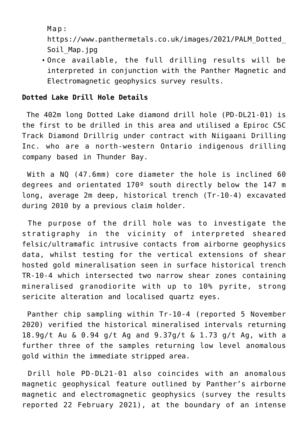Map:

[https://www.panthermetals.co.uk/images/2021/PALM\\_Dotted\\_](https://www.panthermetals.co.uk/images/2021/PALM_Dotted_Soil_Map.jpg) Soil Map.jpg

Once available, the full drilling results will be interpreted in conjunction with the Panther Magnetic and Electromagnetic geophysics survey results.

#### **Dotted Lake Drill Hole Details**

The 402m long Dotted Lake diamond drill hole (PD-DL21-01) is the first to be drilled in this area and utilised a Epiroc C5C Track Diamond Drillrig under contract with Niigaani Drilling Inc. who are a north-western Ontario indigenous drilling company based in Thunder Bay.

With a NQ (47.6mm) core diameter the hole is inclined 60 degrees and orientated 170º south directly below the 147 m long, average 2m deep, historical trench (Tr-10-4) excavated during 2010 by a previous claim holder.

The purpose of the drill hole was to investigate the stratigraphy in the vicinity of interpreted sheared felsic/ultramafic intrusive contacts from airborne geophysics data, whilst testing for the vertical extensions of shear hosted gold mineralisation seen in surface historical trench TR-10-4 which intersected two narrow shear zones containing mineralised granodiorite with up to 10% pyrite, strong sericite alteration and localised quartz eyes.

Panther chip sampling within Tr-10-4 (reported 5 November 2020) verified the historical mineralised intervals returning 18.9g/t Au & 0.94 g/t Ag and 9.37g/t & 1.73 g/t Ag, with a further three of the samples returning low level anomalous gold within the immediate stripped area.

Drill hole PD-DL21-01 also coincides with an anomalous magnetic geophysical feature outlined by Panther's airborne magnetic and electromagnetic geophysics (survey the results reported 22 February 2021), at the boundary of an intense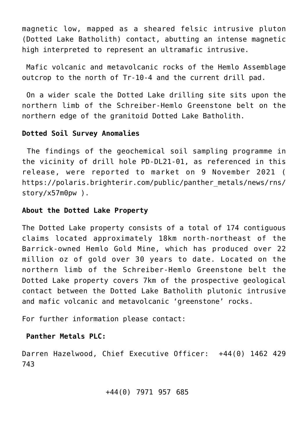magnetic low, mapped as a sheared felsic intrusive pluton (Dotted Lake Batholith) contact, abutting an intense magnetic high interpreted to represent an ultramafic intrusive.

Mafic volcanic and metavolcanic rocks of the Hemlo Assemblage outcrop to the north of Tr-10-4 and the current drill pad.

On a wider scale the Dotted Lake drilling site sits upon the northern limb of the Schreiber-Hemlo Greenstone belt on the northern edge of the granitoid Dotted Lake Batholith.

#### **Dotted Soil Survey Anomalies**

The findings of the geochemical soil sampling programme in the vicinity of drill hole PD-DL21-01, as referenced in this release, were reported to market on 9 November 2021 ( [https://polaris.brighterir.com/public/panther\\_metals/news/rns/](https://polaris.brighterir.com/public/panther_metals/news/rns/story/x57m0pw) [story/x57m0pw](https://polaris.brighterir.com/public/panther_metals/news/rns/story/x57m0pw) ).

#### **About the Dotted Lake Property**

The Dotted Lake property consists of a total of 174 contiguous claims located approximately 18km north-northeast of the Barrick-owned Hemlo Gold Mine, which has produced over 22 million oz of gold over 30 years to date. Located on the northern limb of the Schreiber-Hemlo Greenstone belt the Dotted Lake property covers 7km of the prospective geological contact between the Dotted Lake Batholith plutonic intrusive and mafic volcanic and metavolcanic 'greenstone' rocks.

For further information please contact:

#### **Panther Metals PLC:**

Darren Hazelwood, Chief Executive Officer: +44(0) 1462 429 743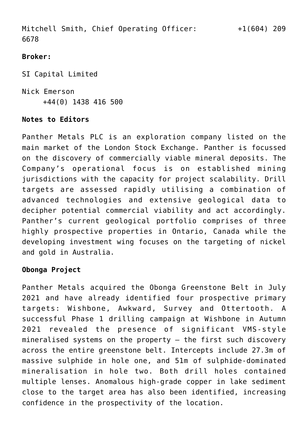Mitchell Smith, Chief Operating Officer: +1(604) 209 6678

## **Broker:**

SI Capital Limited Nick Emerson +44(0) 1438 416 500

## **Notes to Editors**

Panther Metals PLC is an exploration company listed on the main market of the London Stock Exchange. Panther is focussed on the discovery of commercially viable mineral deposits. The Company's operational focus is on established mining jurisdictions with the capacity for project scalability. Drill targets are assessed rapidly utilising a combination of advanced technologies and extensive geological data to decipher potential commercial viability and act accordingly. Panther's current geological portfolio comprises of three highly prospective properties in Ontario, Canada while the developing investment wing focuses on the targeting of nickel and gold in Australia.

## **Obonga Project**

Panther Metals acquired the Obonga Greenstone Belt in July 2021 and have already identified four prospective primary targets: Wishbone, Awkward, Survey and Ottertooth. A successful Phase 1 drilling campaign at Wishbone in Autumn 2021 revealed the presence of significant VMS-style mineralised systems on the property – the first such discovery across the entire greenstone belt. Intercepts include 27.3m of massive sulphide in hole one, and 51m of sulphide-dominated mineralisation in hole two. Both drill holes contained multiple lenses. Anomalous high-grade copper in lake sediment close to the target area has also been identified, increasing confidence in the prospectivity of the location.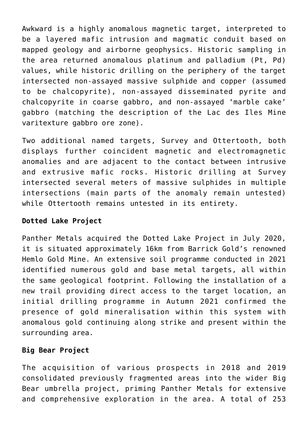Awkward is a highly anomalous magnetic target, interpreted to be a layered mafic intrusion and magmatic conduit based on mapped geology and airborne geophysics. Historic sampling in the area returned anomalous platinum and palladium (Pt, Pd) values, while historic drilling on the periphery of the target intersected non-assayed massive sulphide and copper (assumed to be chalcopyrite), non-assayed disseminated pyrite and chalcopyrite in coarse gabbro, and non-assayed 'marble cake' gabbro (matching the description of the Lac des Iles Mine varitexture gabbro ore zone).

Two additional named targets, Survey and Ottertooth, both displays further coincident magnetic and electromagnetic anomalies and are adjacent to the contact between intrusive and extrusive mafic rocks. Historic drilling at Survey intersected several meters of massive sulphides in multiple intersections (main parts of the anomaly remain untested) while Ottertooth remains untested in its entirety.

# **Dotted Lake Project**

Panther Metals acquired the Dotted Lake Project in July 2020, it is situated approximately 16km from Barrick Gold's renowned Hemlo Gold Mine. An extensive soil programme conducted in 2021 identified numerous gold and base metal targets, all within the same geological footprint. Following the installation of a new trail providing direct access to the target location, an initial drilling programme in Autumn 2021 confirmed the presence of gold mineralisation within this system with anomalous gold continuing along strike and present within the surrounding area.

# **Big Bear Project**

The acquisition of various prospects in 2018 and 2019 consolidated previously fragmented areas into the wider Big Bear umbrella project, priming Panther Metals for extensive and comprehensive exploration in the area. A total of 253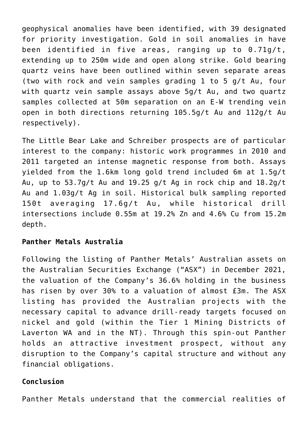geophysical anomalies have been identified, with 39 designated for priority investigation. Gold in soil anomalies in have been identified in five areas, ranging up to 0.71g/t, extending up to 250m wide and open along strike. Gold bearing quartz veins have been outlined within seven separate areas (two with rock and vein samples grading 1 to 5 g/t Au, four with quartz vein sample assays above 5g/t Au, and two quartz samples collected at 50m separation on an E-W trending vein open in both directions returning 105.5g/t Au and 112g/t Au respectively).

The Little Bear Lake and Schreiber prospects are of particular interest to the company: historic work programmes in 2010 and 2011 targeted an intense magnetic response from both. Assays yielded from the 1.6km long gold trend included 6m at 1.5g/t Au, up to 53.7g/t Au and 19.25 g/t Ag in rock chip and 18.2g/t Au and 1.03g/t Ag in soil. Historical bulk sampling reported 150t averaging 17.6g/t Au, while historical drill intersections include 0.55m at 19.2% Zn and 4.6% Cu from 15.2m depth.

#### **Panther Metals Australia**

Following the listing of Panther Metals' Australian assets on the Australian Securities Exchange ("ASX") in December 2021, the valuation of the Company's 36.6% holding in the business has risen by over 30% to a valuation of almost £3m. The ASX listing has provided the Australian projects with the necessary capital to advance drill-ready targets focused on nickel and gold (within the Tier 1 Mining Districts of Laverton WA and in the NT). Through this spin-out Panther holds an attractive investment prospect, without any disruption to the Company's capital structure and without any financial obligations.

# **Conclusion**

Panther Metals understand that the commercial realities of